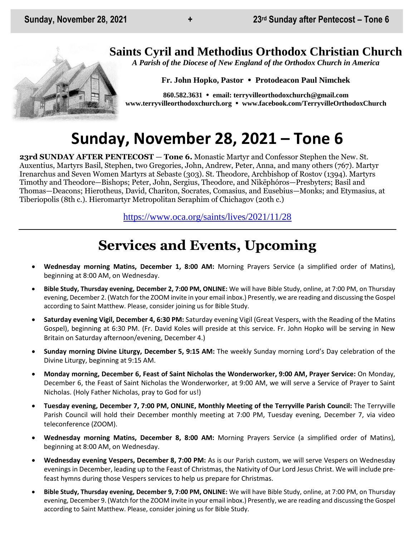## **Saints Cyril and Methodius Orthodox Christian Church**

*A Parish of the Diocese of New England of the Orthodox Church in America*

**Fr. John Hopko, Pastor Protodeacon Paul Nimchek**

**860.582.3631 email: [terryvilleorthodoxchurch@gmail.com](mailto:saintcyril@snet.net) [www.terryvilleorthodoxchurch.org](http://www.terryvilleorthodoxchurch.org/) [www.facebook.com/TerryvilleOrthodoxChurch](http://www.facebook.com/TerryvilleOrthodoxChurch)**

# **Sunday, November 28, 2021 – Tone 6**

**23rd SUNDAY AFTER PENTECOST** — **Tone 6.** Monastic Martyr and Confessor Stephen the New. St. Auxentius, Martyrs Basil, Stephen, two Gregories, John, Andrew, Peter, Anna, and many others (767). Martyr Irenarchus and Seven Women Martyrs at Sebaste (303). St. Theodore, Archbishop of Rostov (1394). Martyrs Timothy and Theodore—Bishops; Peter, John, Sergius, Theodore, and Nikēphóros—Presbyters; Basil and Thomas—Deacons; Hierotheus, David, Chariton, Socrates, Comasius, and Eusebius—Monks; and Etymasius, at Tiberiopolis (8th c.). Hieromartyr Metropolitan Seraphim of Chichagov (20th c.)

<https://www.oca.org/saints/lives/2021/11/28>

# **Services and Events, Upcoming**

- **Wednesday morning Matins, December 1, 8:00 AM:** Morning Prayers Service (a simplified order of Matins), beginning at 8:00 AM, on Wednesday.
- **Bible Study, Thursday evening, December 2, 7:00 PM, ONLINE:** We will have Bible Study, online, at 7:00 PM, on Thursday evening, December 2. (Watch for the ZOOM invite in your email inbox.) Presently, we are reading and discussing the Gospel according to Saint Matthew. Please, consider joining us for Bible Study.
- **Saturday evening Vigil, December 4, 6:30 PM:** Saturday evening Vigil (Great Vespers, with the Reading of the Matins Gospel), beginning at 6:30 PM. (Fr. David Koles will preside at this service. Fr. John Hopko will be serving in New Britain on Saturday afternoon/evening, December 4.)
- **Sunday morning Divine Liturgy, December 5, 9:15 AM:** The weekly Sunday morning Lord's Day celebration of the Divine Liturgy, beginning at 9:15 AM.
- **Monday morning, December 6, Feast of Saint Nicholas the Wonderworker, 9:00 AM, Prayer Service:** On Monday, December 6, the Feast of Saint Nicholas the Wonderworker, at 9:00 AM, we will serve a Service of Prayer to Saint Nicholas. (Holy Father Nicholas, pray to God for us!)
- **Tuesday evening, December 7, 7:00 PM, ONLINE, Monthly Meeting of the Terryville Parish Council:** The Terryville Parish Council will hold their December monthly meeting at 7:00 PM, Tuesday evening, December 7, via video teleconference (ZOOM).
- **Wednesday morning Matins, December 8, 8:00 AM:** Morning Prayers Service (a simplified order of Matins), beginning at 8:00 AM, on Wednesday.
- **Wednesday evening Vespers, December 8, 7:00 PM:** As is our Parish custom, we will serve Vespers on Wednesday evenings in December, leading up to the Feast of Christmas, the Nativity of Our Lord Jesus Christ. We will include prefeast hymns during those Vespers services to help us prepare for Christmas.
- **Bible Study, Thursday evening, December 9, 7:00 PM, ONLINE:** We will have Bible Study, online, at 7:00 PM, on Thursday evening, December 9. (Watch for the ZOOM invite in your email inbox.) Presently, we are reading and discussing the Gospel according to Saint Matthew. Please, consider joining us for Bible Study.

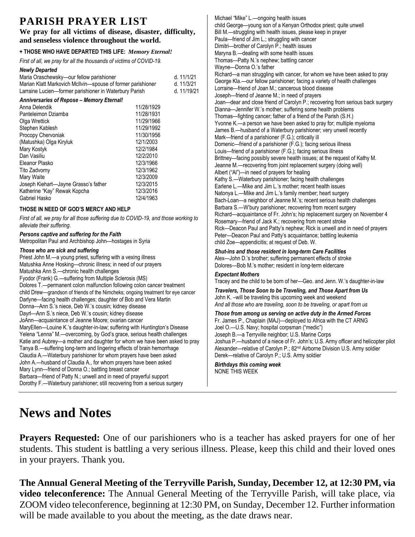## **PARISH PRAYER LIST**

#### **We pray for all victims of disease, disaster, difficulty, and senseless violence throughout the world.**

### **+ THOSE WHO HAVE DEPARTED THIS LIFE:** *Memory Eternal!*

*First of all, we pray for all the thousands of victims of COVID-19.* 

#### *Newly Departed*

| Maria Oraschewsky-our fellow parishioner                    | d. 11/1/21  |
|-------------------------------------------------------------|-------------|
| Marian Klatt Markovich McIlvin-spouse of former parishioner | d. 11/3/21  |
| Larraine Lucien—former parishioner in Waterbury Parish      | d. 11/19/21 |

| <b>Anniversaries of Repose - Memory Eternal!</b> |            |
|--------------------------------------------------|------------|
| Anna Delendik                                    | 11/28/1929 |
| Panteleimon Dziamba                              | 11/28/1931 |
| Olga Wrettick                                    | 11/29/1966 |
| Stephen Kablesh                                  | 11/29/1992 |
| Procopy Chervoniak                               | 11/30/1956 |
| (Matushka) Olga Kiryluk                          | 12/1/2003  |
| Mary Kostyk                                      | 12/2/1984  |
| Dan Vasiliu                                      | 12/2/2010  |
| Eleanor Plasko                                   | 12/3/1966  |
| Tito Zadvorny                                    | 12/3/1962  |
| Mary Waite                                       | 12/3/2009  |
| Joseph Kiehart—Jayne Grasso's father             | 12/3/2015  |
| Katherine "Kay" Rewak Kopcha                     | 12/3/2016  |
| Gabriel Hasko                                    | 12/4/1963  |

### **THOSE IN NEED OF GOD'S MERCY AND HELP**

*First of all, we pray for all those suffering due to COVID-19, and those working to alleviate their suffering.*

### *Persons captive and suffering for the Faith*

Metropolitan Paul and Archbishop John—hostages in Syria

#### *Those who are sick and suffering*

Priest John M.—a young priest, suffering with a vexing illness Matushka Anne Hosking—chronic illness; in need of our prayers Matushka Ann S.—chronic health challenges Fyodor (Frank) G.—suffering from Multiple Sclerosis (MS) Dolores T.—permanent colon malfunction following colon cancer treatment child Drew—grandson of friends of the Nimcheks; ongoing treatment for eye cancer Darlyne—facing health challenges; daughter of Bob and Vera Martin Donna—Ann S.'s niece, Deb W.'s cousin; kidney disease Dayrl—Ann S.'s niece, Deb W.'s cousin; kidney disease JoAnn—acquaintance of Jeanne Moore; ovarian cancer MaryEllen—Louine K.'s daughter-in-law; suffering with Huntington's Disease Yelena "Lenna" M.—overcoming, by God's grace, serious health challenges Katie and Aubrey—a mother and daughter for whom we have been asked to pray Tanya B.—suffering long-term and lingering effects of brain hemorrhage Claudia A.—Waterbury parishioner for whom prayers have been asked John A.—husband of Claudia A., for whom prayers have been asked Mary Lynn—friend of Donna O.; battling breast cancer Barbara—friend of Patty N.; unwell and in need of prayerful support Dorothy F.—Waterbury parishioner; still recovering from a serious surgery

Michael "Mike" L.—ongoing health issues child George—young son of a Kenyan Orthodox priest; quite unwell Bill M.—struggling with health issues, please keep in prayer Paula—friend of Jim L.; struggling with cancer Dimitri—brother of Carolyn P.; health issues Maryna B.—dealing with some health issues Thomas—Patty N.'s nephew; battling cancer Wayne—Donna O.'s father Richard—a man struggling with cancer, for whom we have been asked to pray George Kla.—our fellow parishioner; facing a variety of health challenges Lorraine—friend of Joan M.; cancerous blood disease Joseph—friend of Jeanne M.; in need of prayers Joan—dear and close friend of Carolyn P.; recovering from serious back surgery Dianna—Jennifer W.'s mother; suffering some health problems Thomas—fighting cancer; father of a friend of the Parish (S.H.) Yvonne K.—a person we have been asked to pray for; multiple myeloma James B.—husband of a Waterbury parishioner; very unwell recently Mark—friend of a parishioner (F.G.); critically ill Domenic—friend of a parishioner (F.G.); facing serious illness Louis—friend of a parishioner (F.G.); facing serious illness Brittney—facing possibly severe health issues; at the request of Kathy M. Jeanne M.—recovering from joint replacement surgery (doing well) Albert ("Al")—in need of prayers for healing Kathy S.—Waterbury parishioner; facing health challenges Earlene L.—Mike and Jim L.'s mother; recent health issues Natonya L.—Mike and Jim L.'s family member; heart surgery Bach-Loan—a neighbor of Jeanne M.'s; recent serious health challenges Barbara S.—W'bury parishioner; recovering from recent surgery Richard—acquaintance of Fr. John's; hip replacement surgery on November 4 Rosemary—friend of Jack K.; recovering from recent stroke Rick—Deacon Paul and Patty's nephew; Rick is unwell and in need of prayers Peter—Deacon Paul and Patty's acquaintance; battling leukemia child Zoe—appendicitis; at request of Deb. W. *Shut-ins and those resident in long-term Care Facilities*

Alex—John D.'s brother; suffering permanent effects of stroke Dolores—Bob M.'s mother; resident in long-term eldercare

### *Expectant Mothers*

Tracey and the child to be born of her—Geo. and Jenn. W.'s daughter-in-law

*Travelers, Those Soon to be Traveling, and Those Apart from Us* John K. –will be traveling this upcoming week and weekend *And all those who are traveling, soon to be traveling, or apart from us*

*Those from among us serving on active duty in the Armed Forces* Fr. James P., Chaplain (MAJ)—deployed to Africa with the CT ARNG Joel O.—U.S. Navy; hospital corpsman ("medic") Joseph B.—a Terryville neighbor; U.S. Marine Corps Joshua P.—husband of a niece of Fr. John's; U.S. Army officer and helicopter pilot Alexander—relative of Carolyn P.; 82nd Airborne Division U.S. Army soldier Derek—relative of Carolyn P.; U.S. Army soldier

*Birthdays this coming week* NONE THIS WEEK

# **News and Notes**

**Prayers Requested:** One of our parishioners who is a teacher has asked prayers for one of her students. This student is battling a very serious illness. Please, keep this child and their loved ones in your prayers. Thank you.

**The Annual General Meeting of the Terryville Parish, Sunday, December 12, at 12:30 PM, via video teleconference:** The Annual General Meeting of the Terryville Parish, will take place, via ZOOM video teleconference, beginning at 12:30 PM, on Sunday, December 12. Further information will be made available to you about the meeting, as the date draws near.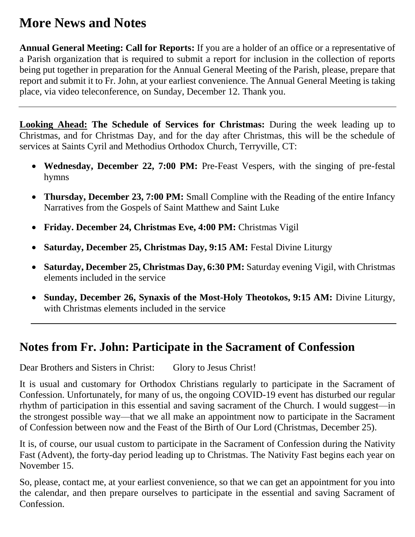# **More News and Notes**

**Annual General Meeting: Call for Reports:** If you are a holder of an office or a representative of a Parish organization that is required to submit a report for inclusion in the collection of reports being put together in preparation for the Annual General Meeting of the Parish, please, prepare that report and submit it to Fr. John, at your earliest convenience. The Annual General Meeting is taking place, via video teleconference, on Sunday, December 12. Thank you.

**Looking Ahead: The Schedule of Services for Christmas:** During the week leading up to Christmas, and for Christmas Day, and for the day after Christmas, this will be the schedule of services at Saints Cyril and Methodius Orthodox Church, Terryville, CT:

- **Wednesday, December 22, 7:00 PM:** Pre-Feast Vespers, with the singing of pre-festal hymns
- **Thursday, December 23, 7:00 PM:** Small Compline with the Reading of the entire Infancy Narratives from the Gospels of Saint Matthew and Saint Luke
- **Friday. December 24, Christmas Eve, 4:00 PM:** Christmas Vigil
- **Saturday, December 25, Christmas Day, 9:15 AM:** Festal Divine Liturgy
- **Saturday, December 25, Christmas Day, 6:30 PM:** Saturday evening Vigil, with Christmas elements included in the service
- **Sunday, December 26, Synaxis of the Most-Holy Theotokos, 9:15 AM:** Divine Liturgy, with Christmas elements included in the service

## **Notes from Fr. John: Participate in the Sacrament of Confession**

Dear Brothers and Sisters in Christ: Glory to Jesus Christ!

It is usual and customary for Orthodox Christians regularly to participate in the Sacrament of Confession. Unfortunately, for many of us, the ongoing COVID-19 event has disturbed our regular rhythm of participation in this essential and saving sacrament of the Church. I would suggest—in the strongest possible way—that we all make an appointment now to participate in the Sacrament of Confession between now and the Feast of the Birth of Our Lord (Christmas, December 25).

It is, of course, our usual custom to participate in the Sacrament of Confession during the Nativity Fast (Advent), the forty-day period leading up to Christmas. The Nativity Fast begins each year on November 15.

So, please, contact me, at your earliest convenience, so that we can get an appointment for you into the calendar, and then prepare ourselves to participate in the essential and saving Sacrament of Confession.